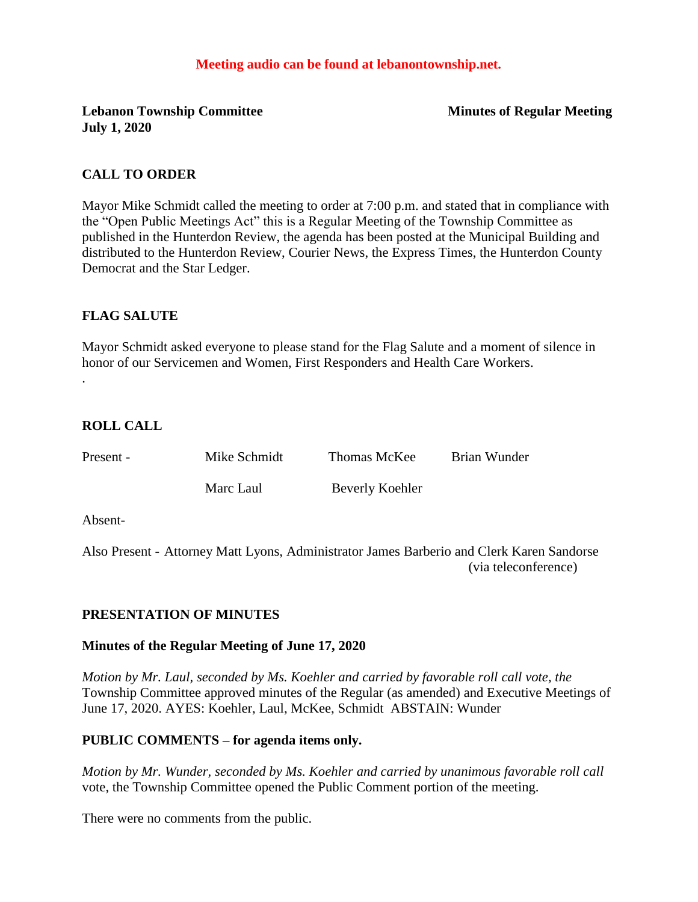### **Meeting audio can be found at lebanontownship.net.**

**Lebanon Township Committee Minutes of Regular Meeting July 1, 2020**

#### **CALL TO ORDER**

Mayor Mike Schmidt called the meeting to order at 7:00 p.m. and stated that in compliance with the "Open Public Meetings Act" this is a Regular Meeting of the Township Committee as published in the Hunterdon Review, the agenda has been posted at the Municipal Building and distributed to the Hunterdon Review, Courier News, the Express Times, the Hunterdon County Democrat and the Star Ledger.

#### **FLAG SALUTE**

Mayor Schmidt asked everyone to please stand for the Flag Salute and a moment of silence in honor of our Servicemen and Women, First Responders and Health Care Workers.

### **ROLL CALL**

.

Present - Mike Schmidt Thomas McKee Brian Wunder

Marc Laul Beverly Koehler

Absent-

Also Present - Attorney Matt Lyons, Administrator James Barberio and Clerk Karen Sandorse (via teleconference)

### **PRESENTATION OF MINUTES**

#### **Minutes of the Regular Meeting of June 17, 2020**

*Motion by Mr. Laul, seconded by Ms. Koehler and carried by favorable roll call vote, the* Township Committee approved minutes of the Regular (as amended) and Executive Meetings of June 17, 2020. AYES: Koehler, Laul, McKee, Schmidt ABSTAIN: Wunder

#### **PUBLIC COMMENTS – for agenda items only.**

*Motion by Mr. Wunder, seconded by Ms. Koehler and carried by unanimous favorable roll call*  vote, the Township Committee opened the Public Comment portion of the meeting.

There were no comments from the public.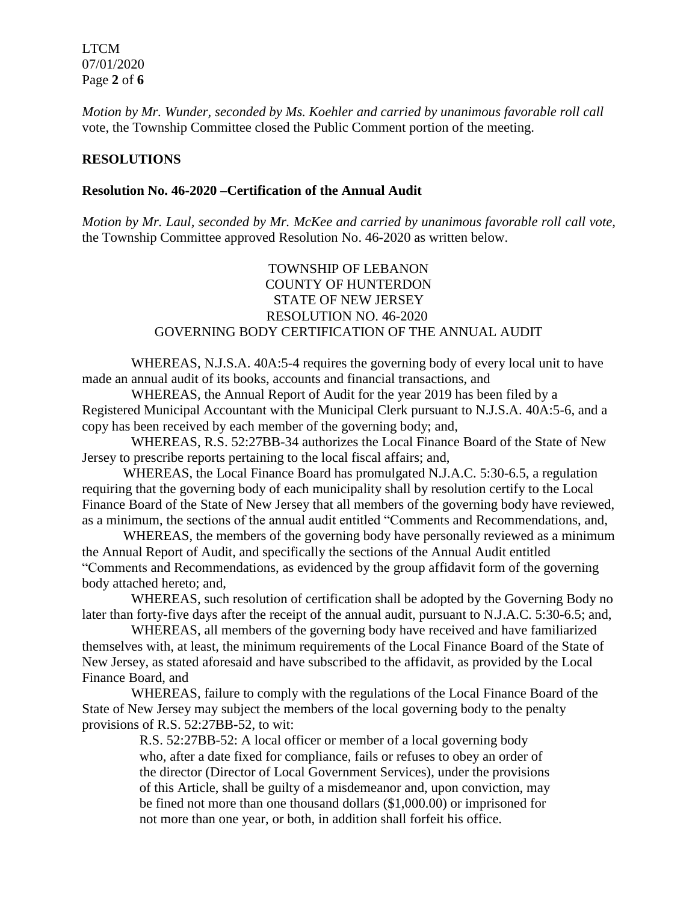LTCM 07/01/2020 Page **2** of **6**

*Motion by Mr. Wunder, seconded by Ms. Koehler and carried by unanimous favorable roll call*  vote, the Township Committee closed the Public Comment portion of the meeting.

### **RESOLUTIONS**

#### **Resolution No. 46-2020 –Certification of the Annual Audit**

*Motion by Mr. Laul, seconded by Mr. McKee and carried by unanimous favorable roll call vote,* the Township Committee approved Resolution No. 46-2020 as written below.

## TOWNSHIP OF LEBANON COUNTY OF HUNTERDON STATE OF NEW JERSEY RESOLUTION NO. 46-2020 GOVERNING BODY CERTIFICATION OF THE ANNUAL AUDIT

WHEREAS, N.J.S.A. 40A:5-4 requires the governing body of every local unit to have made an annual audit of its books, accounts and financial transactions, and

WHEREAS, the Annual Report of Audit for the year 2019 has been filed by a Registered Municipal Accountant with the Municipal Clerk pursuant to N.J.S.A. 40A:5-6, and a copy has been received by each member of the governing body; and,

WHEREAS, R.S. 52:27BB-34 authorizes the Local Finance Board of the State of New Jersey to prescribe reports pertaining to the local fiscal affairs; and,

WHEREAS, the Local Finance Board has promulgated N.J.A.C. 5:30-6.5, a regulation requiring that the governing body of each municipality shall by resolution certify to the Local Finance Board of the State of New Jersey that all members of the governing body have reviewed, as a minimum, the sections of the annual audit entitled "Comments and Recommendations, and,

WHEREAS, the members of the governing body have personally reviewed as a minimum the Annual Report of Audit, and specifically the sections of the Annual Audit entitled "Comments and Recommendations, as evidenced by the group affidavit form of the governing body attached hereto; and,

WHEREAS, such resolution of certification shall be adopted by the Governing Body no later than forty-five days after the receipt of the annual audit, pursuant to N.J.A.C. 5:30-6.5; and,

WHEREAS, all members of the governing body have received and have familiarized themselves with, at least, the minimum requirements of the Local Finance Board of the State of New Jersey, as stated aforesaid and have subscribed to the affidavit, as provided by the Local Finance Board, and

WHEREAS, failure to comply with the regulations of the Local Finance Board of the State of New Jersey may subject the members of the local governing body to the penalty provisions of R.S. 52:27BB-52, to wit:

> R.S. 52:27BB-52: A local officer or member of a local governing body who, after a date fixed for compliance, fails or refuses to obey an order of the director (Director of Local Government Services), under the provisions of this Article, shall be guilty of a misdemeanor and, upon conviction, may be fined not more than one thousand dollars (\$1,000.00) or imprisoned for not more than one year, or both, in addition shall forfeit his office.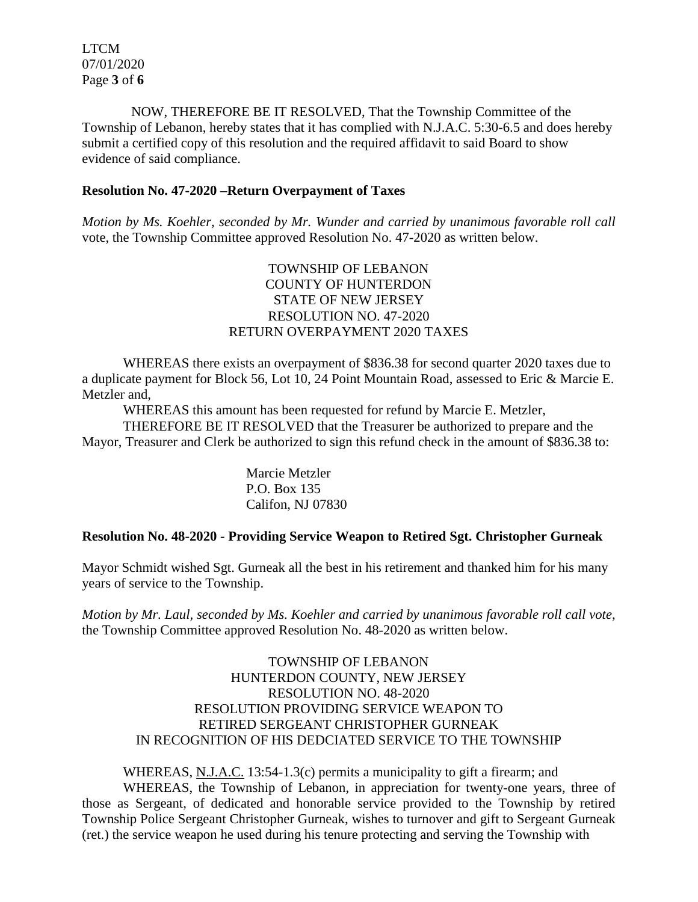LTCM 07/01/2020 Page **3** of **6**

NOW, THEREFORE BE IT RESOLVED, That the Township Committee of the Township of Lebanon, hereby states that it has complied with N.J.A.C. 5:30-6.5 and does hereby submit a certified copy of this resolution and the required affidavit to said Board to show evidence of said compliance.

#### **Resolution No. 47-2020 –Return Overpayment of Taxes**

*Motion by Ms. Koehler, seconded by Mr. Wunder and carried by unanimous favorable roll call*  vote, the Township Committee approved Resolution No. 47-2020 as written below.

## TOWNSHIP OF LEBANON COUNTY OF HUNTERDON STATE OF NEW JERSEY RESOLUTION NO. 47-2020 RETURN OVERPAYMENT 2020 TAXES

WHEREAS there exists an overpayment of \$836.38 for second quarter 2020 taxes due to a duplicate payment for Block 56, Lot 10, 24 Point Mountain Road, assessed to Eric & Marcie E. Metzler and,

WHEREAS this amount has been requested for refund by Marcie E. Metzler,

THEREFORE BE IT RESOLVED that the Treasurer be authorized to prepare and the Mayor, Treasurer and Clerk be authorized to sign this refund check in the amount of \$836.38 to:

> Marcie Metzler P.O. Box 135 Califon, NJ 07830

### **Resolution No. 48-2020 - Providing Service Weapon to Retired Sgt. Christopher Gurneak**

Mayor Schmidt wished Sgt. Gurneak all the best in his retirement and thanked him for his many years of service to the Township.

*Motion by Mr. Laul, seconded by Ms. Koehler and carried by unanimous favorable roll call vote,* the Township Committee approved Resolution No. 48-2020 as written below.

> TOWNSHIP OF LEBANON HUNTERDON COUNTY, NEW JERSEY RESOLUTION NO. 48-2020 RESOLUTION PROVIDING SERVICE WEAPON TO RETIRED SERGEANT CHRISTOPHER GURNEAK IN RECOGNITION OF HIS DEDCIATED SERVICE TO THE TOWNSHIP

WHEREAS, N.J.A.C. 13:54-1.3(c) permits a municipality to gift a firearm; and WHEREAS, the Township of Lebanon, in appreciation for twenty-one years, three of those as Sergeant, of dedicated and honorable service provided to the Township by retired Township Police Sergeant Christopher Gurneak, wishes to turnover and gift to Sergeant Gurneak (ret.) the service weapon he used during his tenure protecting and serving the Township with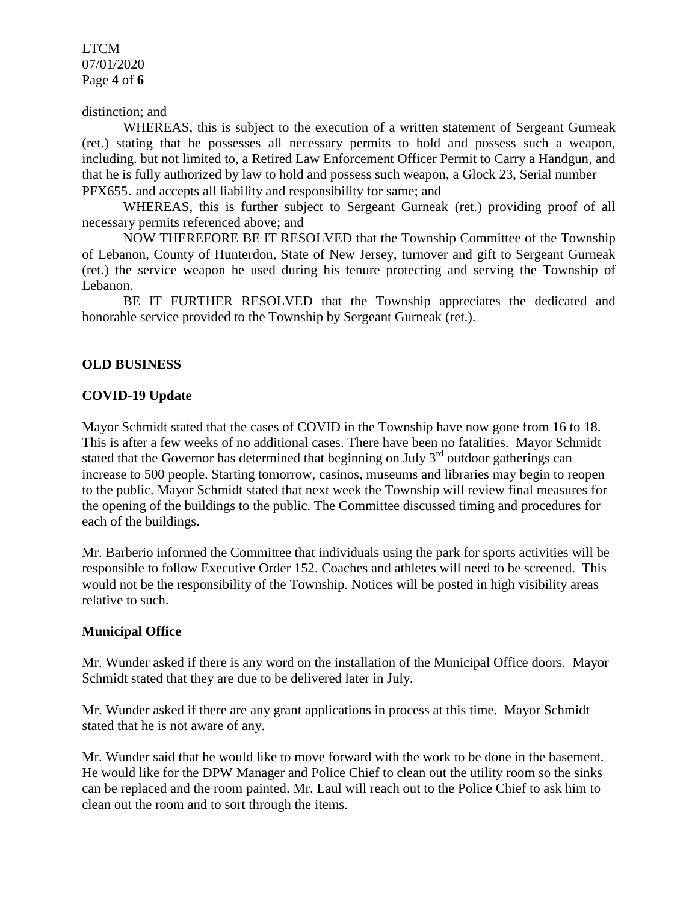LTCM 07/01/2020 Page **4** of **6**

### distinction; and

WHEREAS, this is subject to the execution of a written statement of Sergeant Gurneak (ret.) stating that he possesses all necessary permits to hold and possess such a weapon, including. but not limited to, a Retired Law Enforcement Officer Permit to Carry a Handgun, and that he is fully authorized by law to hold and possess such weapon, a Glock 23, Serial number PFX655. and accepts all liability and responsibility for same; and

WHEREAS, this is further subject to Sergeant Gurneak (ret.) providing proof of all necessary permits referenced above; and

NOW THEREFORE BE IT RESOLVED that the Township Committee of the Township of Lebanon, County of Hunterdon, State of New Jersey, turnover and gift to Sergeant Gurneak (ret.) the service weapon he used during his tenure protecting and serving the Township of Lebanon.

BE IT FURTHER RESOLVED that the Township appreciates the dedicated and honorable service provided to the Township by Sergeant Gurneak (ret.).

### **OLD BUSINESS**

#### **COVID-19 Update**

Mayor Schmidt stated that the cases of COVID in the Township have now gone from 16 to 18. This is after a few weeks of no additional cases. There have been no fatalities. Mayor Schmidt stated that the Governor has determined that beginning on July  $3<sup>rd</sup>$  outdoor gatherings can increase to 500 people. Starting tomorrow, casinos, museums and libraries may begin to reopen to the public. Mayor Schmidt stated that next week the Township will review final measures for the opening of the buildings to the public. The Committee discussed timing and procedures for each of the buildings.

Mr. Barberio informed the Committee that individuals using the park for sports activities will be responsible to follow Executive Order 152. Coaches and athletes will need to be screened. This would not be the responsibility of the Township. Notices will be posted in high visibility areas relative to such.

### **Municipal Office**

Mr. Wunder asked if there is any word on the installation of the Municipal Office doors. Mayor Schmidt stated that they are due to be delivered later in July.

Mr. Wunder asked if there are any grant applications in process at this time. Mayor Schmidt stated that he is not aware of any.

Mr. Wunder said that he would like to move forward with the work to be done in the basement. He would like for the DPW Manager and Police Chief to clean out the utility room so the sinks can be replaced and the room painted. Mr. Laul will reach out to the Police Chief to ask him to clean out the room and to sort through the items.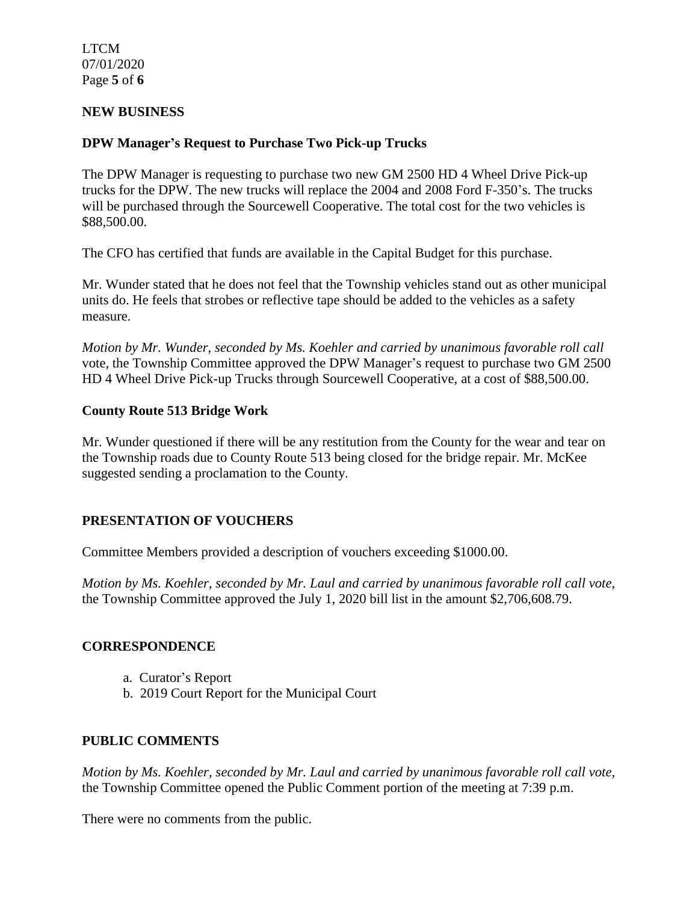LTCM 07/01/2020 Page **5** of **6**

### **NEW BUSINESS**

### **DPW Manager's Request to Purchase Two Pick-up Trucks**

The DPW Manager is requesting to purchase two new GM 2500 HD 4 Wheel Drive Pick-up trucks for the DPW. The new trucks will replace the 2004 and 2008 Ford F-350's. The trucks will be purchased through the Sourcewell Cooperative. The total cost for the two vehicles is \$88,500.00.

The CFO has certified that funds are available in the Capital Budget for this purchase.

Mr. Wunder stated that he does not feel that the Township vehicles stand out as other municipal units do. He feels that strobes or reflective tape should be added to the vehicles as a safety measure.

*Motion by Mr. Wunder, seconded by Ms. Koehler and carried by unanimous favorable roll call*  vote, the Township Committee approved the DPW Manager's request to purchase two GM 2500 HD 4 Wheel Drive Pick-up Trucks through Sourcewell Cooperative, at a cost of \$88,500.00.

### **County Route 513 Bridge Work**

Mr. Wunder questioned if there will be any restitution from the County for the wear and tear on the Township roads due to County Route 513 being closed for the bridge repair. Mr. McKee suggested sending a proclamation to the County.

## **PRESENTATION OF VOUCHERS**

Committee Members provided a description of vouchers exceeding \$1000.00.

*Motion by Ms. Koehler, seconded by Mr. Laul and carried by unanimous favorable roll call vote,* the Township Committee approved the July 1, 2020 bill list in the amount \$2,706,608.79.

### **CORRESPONDENCE**

- a. Curator's Report
- b. 2019 Court Report for the Municipal Court

### **PUBLIC COMMENTS**

*Motion by Ms. Koehler, seconded by Mr. Laul and carried by unanimous favorable roll call vote,* the Township Committee opened the Public Comment portion of the meeting at 7:39 p.m.

There were no comments from the public.